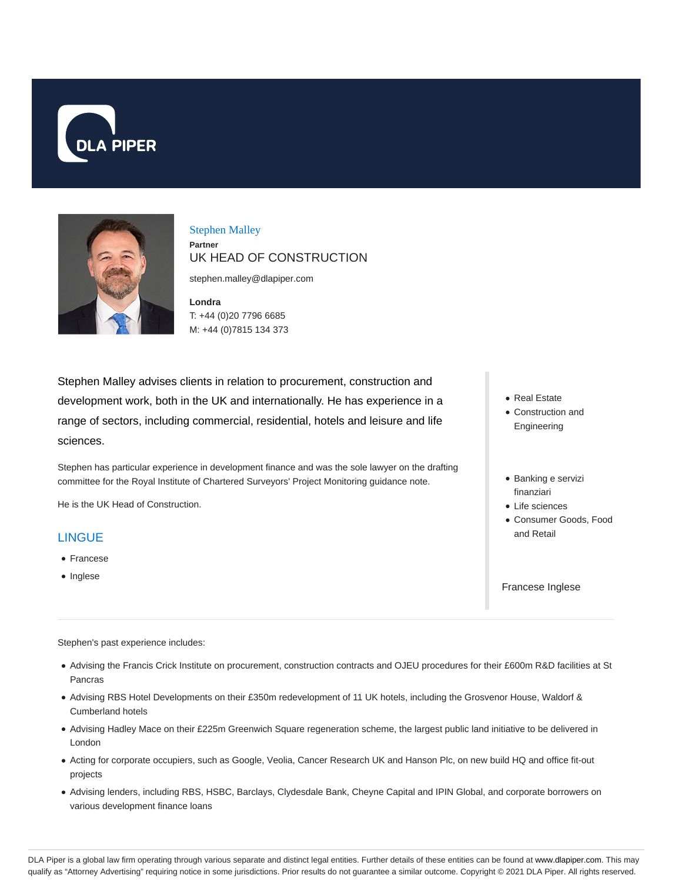



### Stephen Malley **Partner** UK HEAD OF CONSTRUCTION

stephen.malley@dlapiper.com

**Londra** T: +44 (0)20 7796 6685 M: +44 (0)7815 134 373

Stephen Malley advises clients in relation to procurement, construction and development work, both in the UK and internationally. He has experience in a range of sectors, including commercial, residential, hotels and leisure and life sciences.

Stephen has particular experience in development finance and was the sole lawyer on the drafting committee for the Royal Institute of Chartered Surveyors' Project Monitoring guidance note.

He is the UK Head of Construction.

### LINGUE

- Francese
- Inglese
- Real Estate Construction and Engineering
- Banking e servizi finanziari
- Life sciences
- Consumer Goods, Food and Retail

Francese Inglese

Stephen's past experience includes:

- Advising the Francis Crick Institute on procurement, construction contracts and OJEU procedures for their £600m R&D facilities at St Pancras
- Advising RBS Hotel Developments on their £350m redevelopment of 11 UK hotels, including the Grosvenor House, Waldorf & Cumberland hotels
- Advising Hadley Mace on their £225m Greenwich Square regeneration scheme, the largest public land initiative to be delivered in London
- Acting for corporate occupiers, such as Google, Veolia, Cancer Research UK and Hanson Plc, on new build HQ and office fit-out projects
- Advising lenders, including RBS, HSBC, Barclays, Clydesdale Bank, Cheyne Capital and IPIN Global, and corporate borrowers on various development finance loans

DLA Piper is a global law firm operating through various separate and distinct legal entities. Further details of these entities can be found at www.dlapiper.com. This may qualify as "Attorney Advertising" requiring notice in some jurisdictions. Prior results do not guarantee a similar outcome. Copyright © 2021 DLA Piper. All rights reserved.